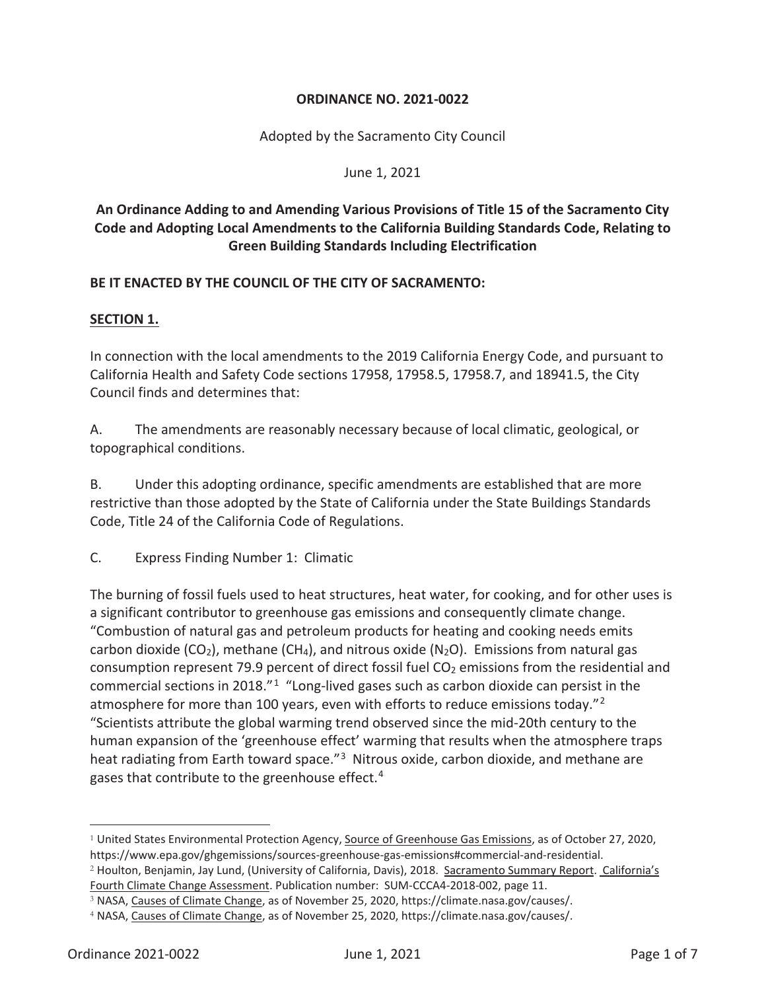## **ORDINANCE NO. 2021-0022**

Adopted by the Sacramento City Council

June 1, 2021

# **An Ordinance Adding to and Amending Various Provisions of Title 15 of the Sacramento City Code and Adopting Local Amendments to the California Building Standards Code, Relating to Green Building Standards Including Electrification**

## **BE IT ENACTED BY THE COUNCIL OF THE CITY OF SACRAMENTO:**

## **SECTION 1.**

In connection with the local amendments to the 2019 California Energy Code, and pursuant to California Health and Safety Code sections 17958, 17958.5, 17958.7, and 18941.5, the City Council finds and determines that:

A. The amendments are reasonably necessary because of local climatic, geological, or topographical conditions.

B. Under this adopting ordinance, specific amendments are established that are more restrictive than those adopted by the State of California under the State Buildings Standards Code, Title 24 of the California Code of Regulations.

C. Express Finding Number 1: Climatic

The burning of fossil fuels used to heat structures, heat water, for cooking, and for other uses is a significant contributor to greenhouse gas emissions and consequently climate change. "Combustion of natural gas and petroleum products for heating and cooking needs emits carbon dioxide (CO<sub>2</sub>), methane (CH<sub>4</sub>), and nitrous oxide (N<sub>2</sub>O). Emissions from natural gas consumption represent 79.9 percent of direct fossil fuel  $CO<sub>2</sub>$  emissions from the residential and commercial sections in 2018."<sup>1</sup> "Long-lived gases such as carbon dioxide can persist in the atmosphere for more than 100 years, even with efforts to reduce emissions today."<sup>2</sup> "Scientists attribute the global warming trend observed since the mid-20th century to the human expansion of the 'greenhouse effect' warming that results when the atmosphere traps heat radiating from Earth toward space.<sup>"3</sup> Nitrous oxide, carbon dioxide, and methane are gases that contribute to the greenhouse effect.<sup>4</sup>

<sup>1</sup> United States Environmental Protection Agency, Source of Greenhouse Gas Emissions, as of October 27, 2020, https://www.epa.gov/ghgemissions/sources-greenhouse-gas-emissions#commercial-and-residential. <sup>2</sup> Houlton, Benjamin, Jay Lund, (University of California, Davis), 2018. Sacramento Summary Report. California's

Fourth Climate Change Assessment. Publication number: SUM-CCCA4-2018-002, page 11.

<sup>3</sup> NASA, Causes of Climate Change, as of November 25, 2020, https://climate.nasa.gov/causes/.

<sup>4</sup> NASA, Causes of Climate Change, as of November 25, 2020, https://climate.nasa.gov/causes/.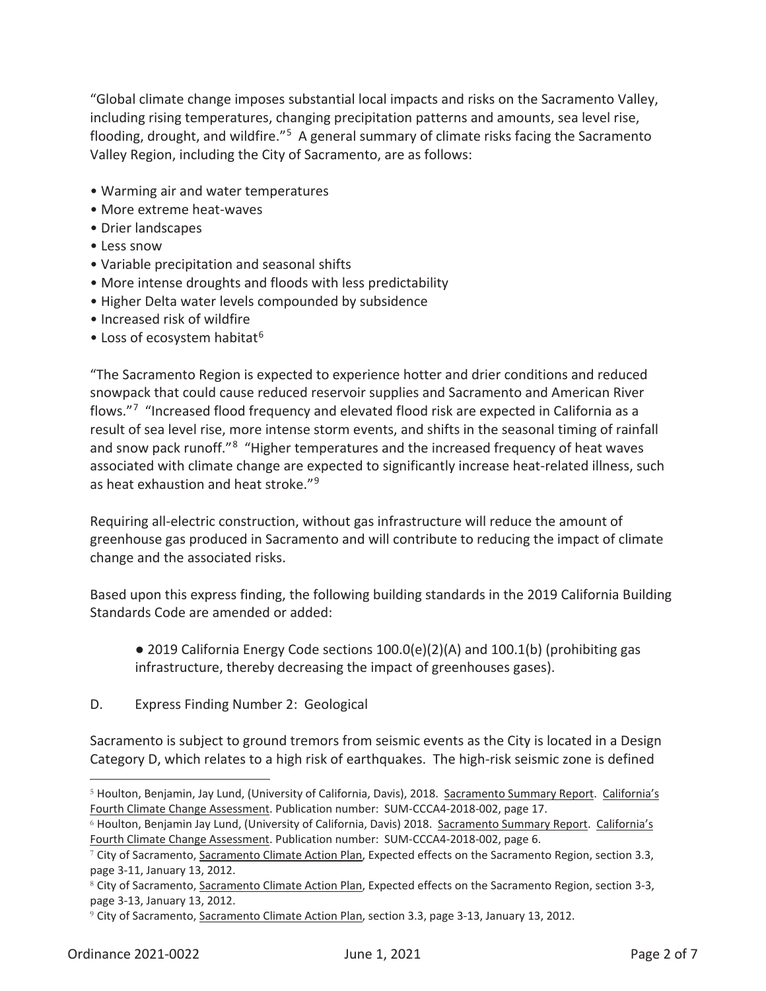"Global climate change imposes substantial local impacts and risks on the Sacramento Valley, including rising temperatures, changing precipitation patterns and amounts, sea level rise, flooding, drought, and wildfire."5 A general summary of climate risks facing the Sacramento Valley Region, including the City of Sacramento, are as follows:

- Warming air and water temperatures
- More extreme heat-waves
- Drier landscapes
- Less snow
- Variable precipitation and seasonal shifts
- More intense droughts and floods with less predictability
- Higher Delta water levels compounded by subsidence
- Increased risk of wildfire
- Loss of ecosystem habitat<sup>6</sup>

"The Sacramento Region is expected to experience hotter and drier conditions and reduced snowpack that could cause reduced reservoir supplies and Sacramento and American River flows."7 "Increased flood frequency and elevated flood risk are expected in California as a result of sea level rise, more intense storm events, and shifts in the seasonal timing of rainfall and snow pack runoff."<sup>8</sup> "Higher temperatures and the increased frequency of heat waves associated with climate change are expected to significantly increase heat-related illness, such as heat exhaustion and heat stroke."9

Requiring all-electric construction, without gas infrastructure will reduce the amount of greenhouse gas produced in Sacramento and will contribute to reducing the impact of climate change and the associated risks.

Based upon this express finding, the following building standards in the 2019 California Building Standards Code are amended or added:

- 2019 California Energy Code sections  $100.0(e)(2)(A)$  and  $100.1(b)$  (prohibiting gas infrastructure, thereby decreasing the impact of greenhouses gases).
- D. Express Finding Number 2: Geological

Sacramento is subject to ground tremors from seismic events as the City is located in a Design Category D, which relates to a high risk of earthquakes. The high-risk seismic zone is defined

<sup>5</sup> Houlton, Benjamin, Jay Lund, (University of California, Davis), 2018. Sacramento Summary Report. California's Fourth Climate Change Assessment. Publication number: SUM-CCCA4-2018-002, page 17.

<sup>&</sup>lt;sup>6</sup> Houlton, Benjamin Jay Lund, (University of California, Davis) 2018. Sacramento Summary Report. California's Fourth Climate Change Assessment. Publication number: SUM-CCCA4-2018-002, page 6.

<sup>7</sup> City of Sacramento, Sacramento Climate Action Plan, Expected effects on the Sacramento Region, section 3.3, page 3-11, January 13, 2012.

<sup>&</sup>lt;sup>8</sup> City of Sacramento, Sacramento Climate Action Plan, Expected effects on the Sacramento Region, section 3-3, page 3-13, January 13, 2012.

<sup>9</sup> City of Sacramento, Sacramento Climate Action Plan, section 3.3, page 3-13, January 13, 2012.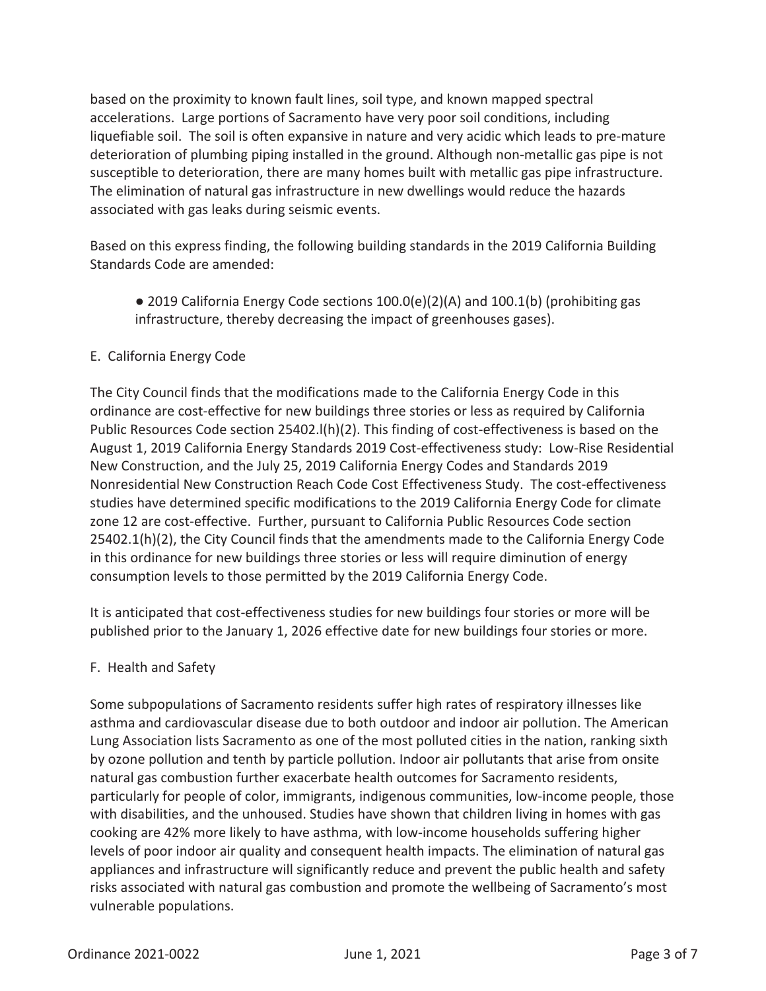based on the proximity to known fault lines, soil type, and known mapped spectral accelerations. Large portions of Sacramento have very poor soil conditions, including liquefiable soil. The soil is often expansive in nature and very acidic which leads to pre-mature deterioration of plumbing piping installed in the ground. Although non-metallic gas pipe is not susceptible to deterioration, there are many homes built with metallic gas pipe infrastructure. The elimination of natural gas infrastructure in new dwellings would reduce the hazards associated with gas leaks during seismic events.

Based on this express finding, the following building standards in the 2019 California Building Standards Code are amended:

• 2019 California Energy Code sections  $100.0(e)(2)(A)$  and  $100.1(b)$  (prohibiting gas infrastructure, thereby decreasing the impact of greenhouses gases).

# E. California Energy Code

The City Council finds that the modifications made to the California Energy Code in this ordinance are cost-effective for new buildings three stories or less as required by California Public Resources Code section 25402.l(h)(2). This finding of cost-effectiveness is based on the August 1, 2019 California Energy Standards 2019 Cost-effectiveness study: Low-Rise Residential New Construction, and the July 25, 2019 California Energy Codes and Standards 2019 Nonresidential New Construction Reach Code Cost Effectiveness Study. The cost-effectiveness studies have determined specific modifications to the 2019 California Energy Code for climate zone 12 are cost-effective. Further, pursuant to California Public Resources Code section 25402.1(h)(2), the City Council finds that the amendments made to the California Energy Code in this ordinance for new buildings three stories or less will require diminution of energy consumption levels to those permitted by the 2019 California Energy Code.

It is anticipated that cost-effectiveness studies for new buildings four stories or more will be published prior to the January 1, 2026 effective date for new buildings four stories or more.

# F. Health and Safety

Some subpopulations of Sacramento residents suffer high rates of respiratory illnesses like asthma and cardiovascular disease due to both outdoor and indoor air pollution. The American Lung Association lists Sacramento as one of the most polluted cities in the nation, ranking sixth by ozone pollution and tenth by particle pollution. Indoor air pollutants that arise from onsite natural gas combustion further exacerbate health outcomes for Sacramento residents, particularly for people of color, immigrants, indigenous communities, low-income people, those with disabilities, and the unhoused. Studies have shown that children living in homes with gas cooking are 42% more likely to have asthma, with low-income households suffering higher levels of poor indoor air quality and consequent health impacts. The elimination of natural gas appliances and infrastructure will significantly reduce and prevent the public health and safety risks associated with natural gas combustion and promote the wellbeing of Sacramento's most vulnerable populations.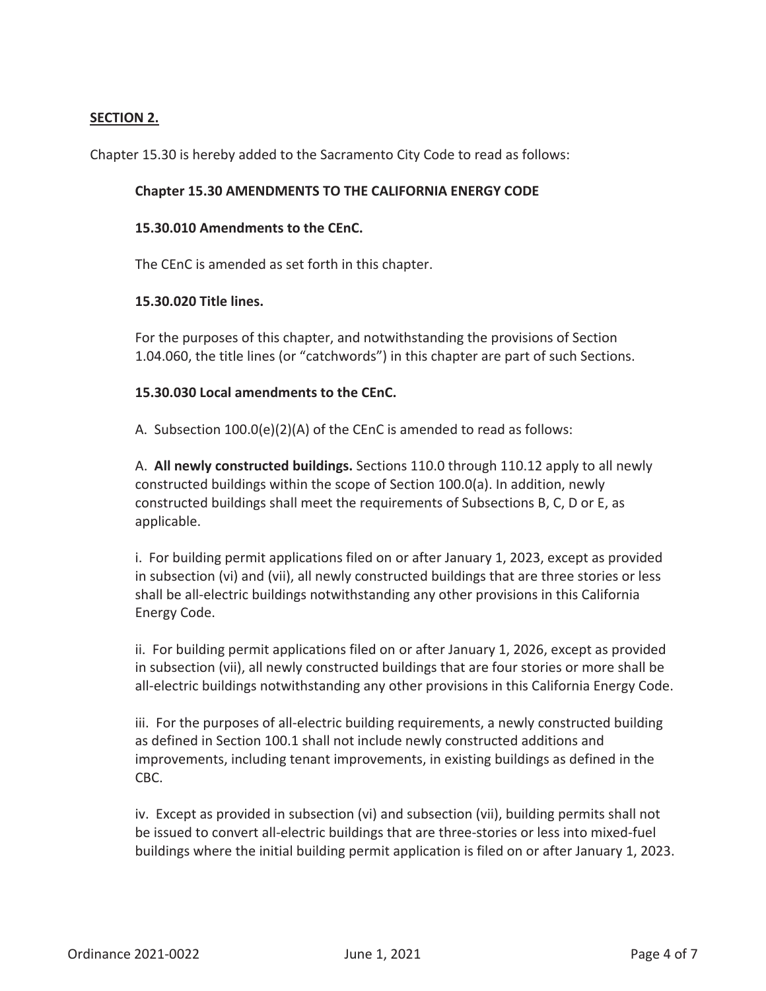## **SECTION 2.**

Chapter 15.30 is hereby added to the Sacramento City Code to read as follows:

#### **Chapter 15.30 AMENDMENTS TO THE CALIFORNIA ENERGY CODE**

#### **15.30.010 Amendments to the CEnC.**

The CEnC is amended as set forth in this chapter.

#### **15.30.020 Title lines.**

For the purposes of this chapter, and notwithstanding the provisions of Section 1.04.060, the title lines (or "catchwords") in this chapter are part of such Sections.

## **15.30.030 Local amendments to the CEnC.**

A. Subsection 100.0(e)(2)(A) of the CEnC is amended to read as follows:

A. **All newly constructed buildings.** Sections 110.0 through 110.12 apply to all newly constructed buildings within the scope of Section 100.0(a). In addition, newly constructed buildings shall meet the requirements of Subsections B, C, D or E, as applicable.

i. For building permit applications filed on or after January 1, 2023, except as provided in subsection (vi) and (vii), all newly constructed buildings that are three stories or less shall be all-electric buildings notwithstanding any other provisions in this California Energy Code.

ii. For building permit applications filed on or after January 1, 2026, except as provided in subsection (vii), all newly constructed buildings that are four stories or more shall be all-electric buildings notwithstanding any other provisions in this California Energy Code.

iii. For the purposes of all-electric building requirements, a newly constructed building as defined in Section 100.1 shall not include newly constructed additions and improvements, including tenant improvements, in existing buildings as defined in the CBC.

iv. Except as provided in subsection (vi) and subsection (vii), building permits shall not be issued to convert all-electric buildings that are three-stories or less into mixed-fuel buildings where the initial building permit application is filed on or after January 1, 2023.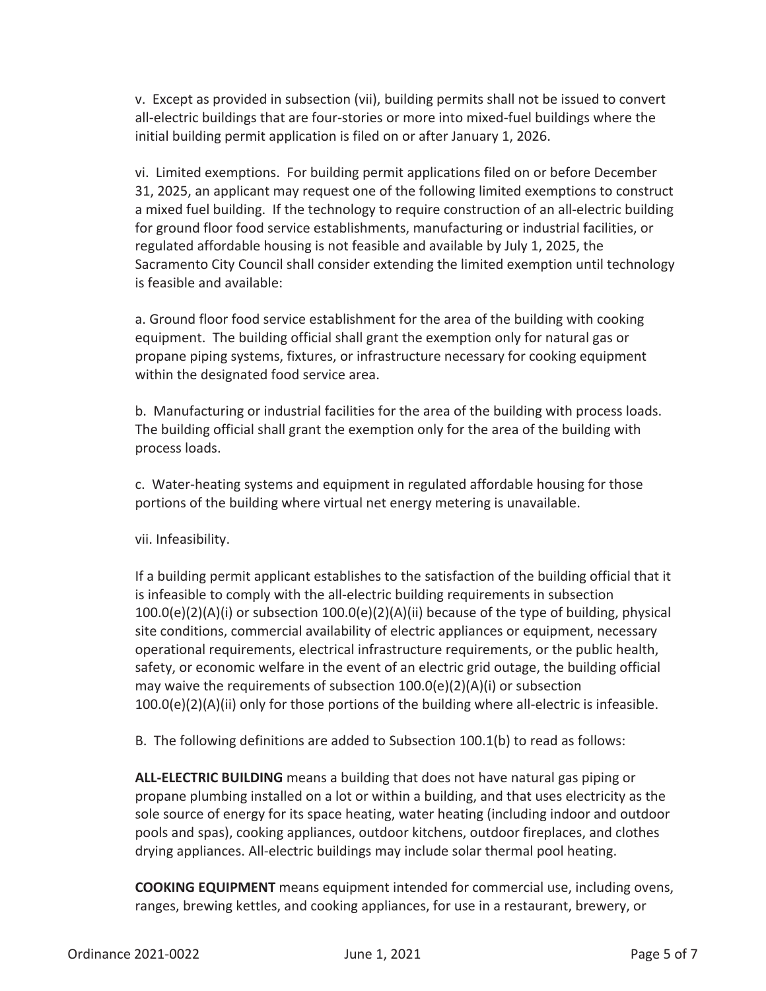v. Except as provided in subsection (vii), building permits shall not be issued to convert all-electric buildings that are four-stories or more into mixed-fuel buildings where the initial building permit application is filed on or after January 1, 2026.

vi. Limited exemptions. For building permit applications filed on or before December 31, 2025, an applicant may request one of the following limited exemptions to construct a mixed fuel building. If the technology to require construction of an all-electric building for ground floor food service establishments, manufacturing or industrial facilities, or regulated affordable housing is not feasible and available by July 1, 2025, the Sacramento City Council shall consider extending the limited exemption until technology is feasible and available:

a. Ground floor food service establishment for the area of the building with cooking equipment. The building official shall grant the exemption only for natural gas or propane piping systems, fixtures, or infrastructure necessary for cooking equipment within the designated food service area.

b. Manufacturing or industrial facilities for the area of the building with process loads. The building official shall grant the exemption only for the area of the building with process loads.

c. Water-heating systems and equipment in regulated affordable housing for those portions of the building where virtual net energy metering is unavailable.

vii. Infeasibility.

If a building permit applicant establishes to the satisfaction of the building official that it is infeasible to comply with the all-electric building requirements in subsection 100.0(e)(2)(A)(i) or subsection 100.0(e)(2)(A)(ii) because of the type of building, physical site conditions, commercial availability of electric appliances or equipment, necessary operational requirements, electrical infrastructure requirements, or the public health, safety, or economic welfare in the event of an electric grid outage, the building official may waive the requirements of subsection  $100.0(e)(2)(A)(i)$  or subsection  $100.0(e)(2)(A)(ii)$  only for those portions of the building where all-electric is infeasible.

B. The following definitions are added to Subsection 100.1(b) to read as follows:

**ALL-ELECTRIC BUILDING** means a building that does not have natural gas piping or propane plumbing installed on a lot or within a building, and that uses electricity as the sole source of energy for its space heating, water heating (including indoor and outdoor pools and spas), cooking appliances, outdoor kitchens, outdoor fireplaces, and clothes drying appliances. All-electric buildings may include solar thermal pool heating.

**COOKING EQUIPMENT** means equipment intended for commercial use, including ovens, ranges, brewing kettles, and cooking appliances, for use in a restaurant, brewery, or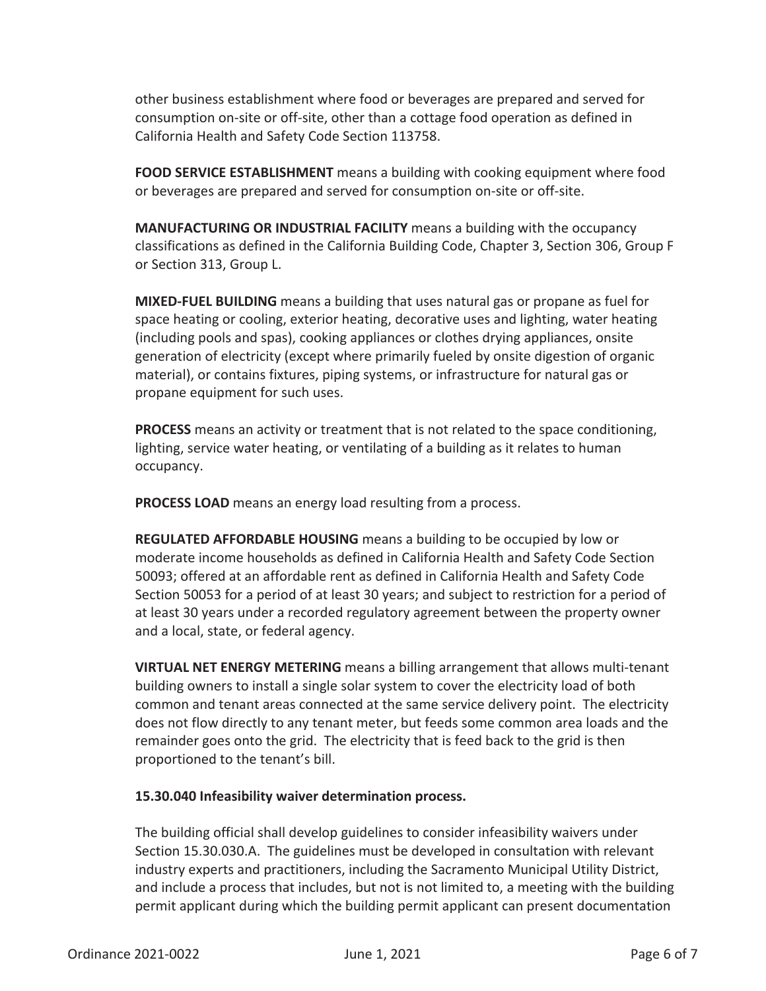other business establishment where food or beverages are prepared and served for consumption on-site or off-site, other than a cottage food operation as defined in California Health and Safety Code Section 113758.

**FOOD SERVICE ESTABLISHMENT** means a building with cooking equipment where food or beverages are prepared and served for consumption on-site or off-site.

**MANUFACTURING OR INDUSTRIAL FACILITY** means a building with the occupancy classifications as defined in the California Building Code, Chapter 3, Section 306, Group F or Section 313, Group L.

**MIXED-FUEL BUILDING** means a building that uses natural gas or propane as fuel for space heating or cooling, exterior heating, decorative uses and lighting, water heating (including pools and spas), cooking appliances or clothes drying appliances, onsite generation of electricity (except where primarily fueled by onsite digestion of organic material), or contains fixtures, piping systems, or infrastructure for natural gas or propane equipment for such uses.

**PROCESS** means an activity or treatment that is not related to the space conditioning, lighting, service water heating, or ventilating of a building as it relates to human occupancy.

**PROCESS LOAD** means an energy load resulting from a process.

**REGULATED AFFORDABLE HOUSING** means a building to be occupied by low or moderate income households as defined in California Health and Safety Code Section 50093; offered at an affordable rent as defined in California Health and Safety Code Section 50053 for a period of at least 30 years; and subject to restriction for a period of at least 30 years under a recorded regulatory agreement between the property owner and a local, state, or federal agency.

**VIRTUAL NET ENERGY METERING** means a billing arrangement that allows multi-tenant building owners to install a single solar system to cover the electricity load of both common and tenant areas connected at the same service delivery point. The electricity does not flow directly to any tenant meter, but feeds some common area loads and the remainder goes onto the grid. The electricity that is feed back to the grid is then proportioned to the tenant's bill.

## **15.30.040 Infeasibility waiver determination process.**

The building official shall develop guidelines to consider infeasibility waivers under Section 15.30.030.A. The guidelines must be developed in consultation with relevant industry experts and practitioners, including the Sacramento Municipal Utility District, and include a process that includes, but not is not limited to, a meeting with the building permit applicant during which the building permit applicant can present documentation